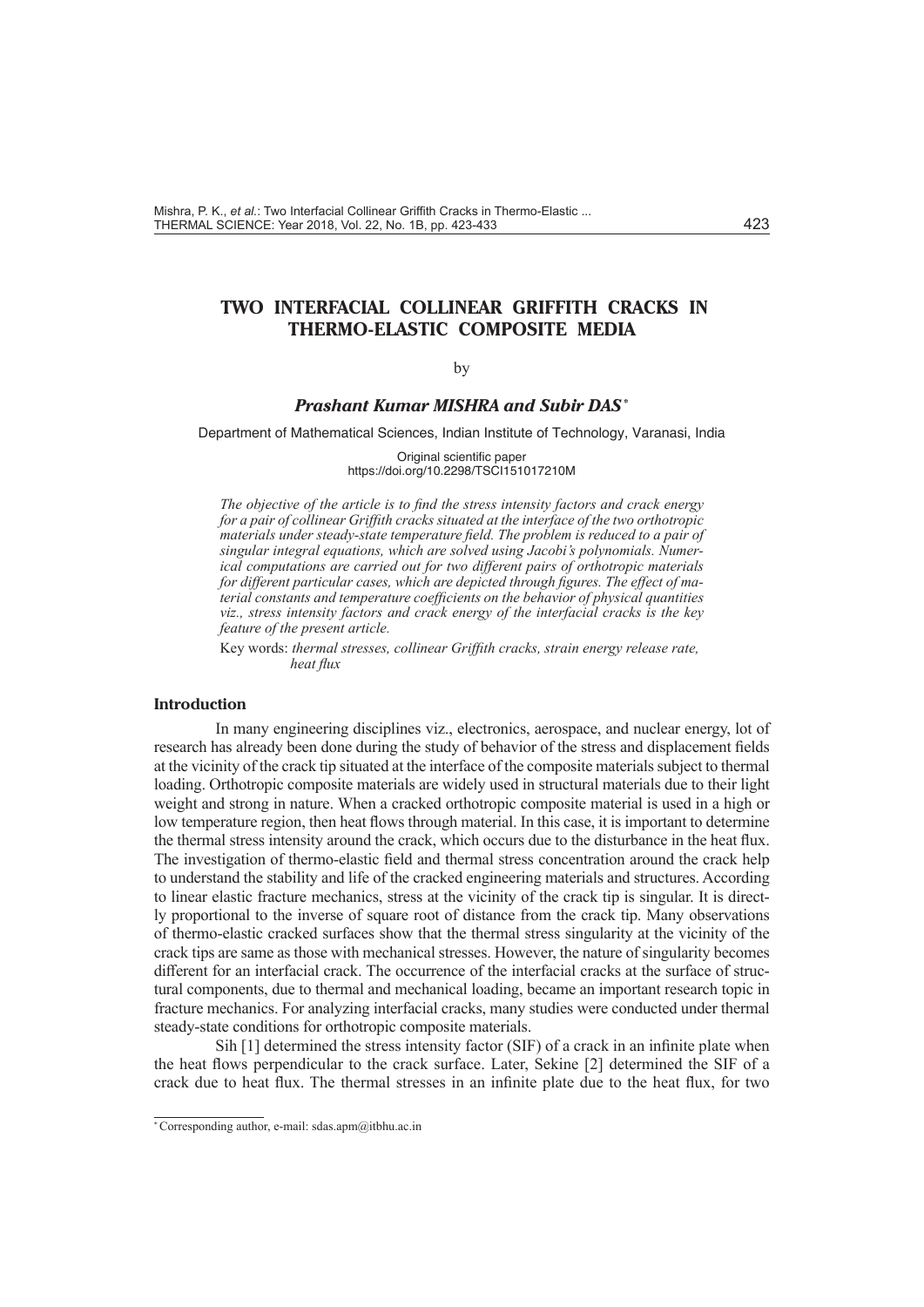# **TWO INTERFACIAL COLLINEAR GRIFFITH CRACKS IN THERMO-ELASTIC COMPOSITE MEDIA**

### by

# *Prashant Kumar MISHRA and Subir DAS\**

Department of Mathematical Sciences, Indian Institute of Technology, Varanasi, India

Original scientific paper https://doi.org/10.2298/TSCI151017210M

*The objective of the article is to find the stress intensity factors and crack energy for a pair of collinear Griffith cracks situated at the interface of the two orthotropic materials under steady-state temperature field. The problem is reduced to a pair of singular integral equations, which are solved using Jacobi's polynomials. Numerical computations are carried out for two different pairs of orthotropic materials for different particular cases, which are depicted through figures. The effect of material constants and temperature coefficients on the behavior of physical quantities viz., stress intensity factors and crack energy of the interfacial cracks is the key feature of the present article.* 

Key words: *thermal stresses, collinear Griffith cracks, strain energy release rate, heat flux*

# **Introduction**

In many engineering disciplines viz., electronics, aerospace, and nuclear energy, lot of research has already been done during the study of behavior of the stress and displacement fields at the vicinity of the crack tip situated at the interface of the composite materials subject to thermal loading. Orthotropic composite materials are widely used in structural materials due to their light weight and strong in nature. When a cracked orthotropic composite material is used in a high or low temperature region, then heat flows through material. In this case, it is important to determine the thermal stress intensity around the crack, which occurs due to the disturbance in the heat flux. The investigation of thermo-elastic field and thermal stress concentration around the crack help to understand the stability and life of the cracked engineering materials and structures. According to linear elastic fracture mechanics, stress at the vicinity of the crack tip is singular. It is directly proportional to the inverse of square root of distance from the crack tip. Many observations of thermo-elastic cracked surfaces show that the thermal stress singularity at the vicinity of the crack tips are same as those with mechanical stresses. However, the nature of singularity becomes different for an interfacial crack. The occurrence of the interfacial cracks at the surface of structural components, due to thermal and mechanical loading, became an important research topic in fracture mechanics. For analyzing interfacial cracks, many studies were conducted under thermal steady-state conditions for orthotropic composite materials.

Sih [1] determined the stress intensity factor (SIF) of a crack in an infinite plate when the heat flows perpendicular to the crack surface. Later, Sekine [2] determined the SIF of a crack due to heat flux. The thermal stresses in an infinite plate due to the heat flux, for two

<sup>\*</sup> Corresponding author, e-mail: sdas.apm@itbhu.ac.in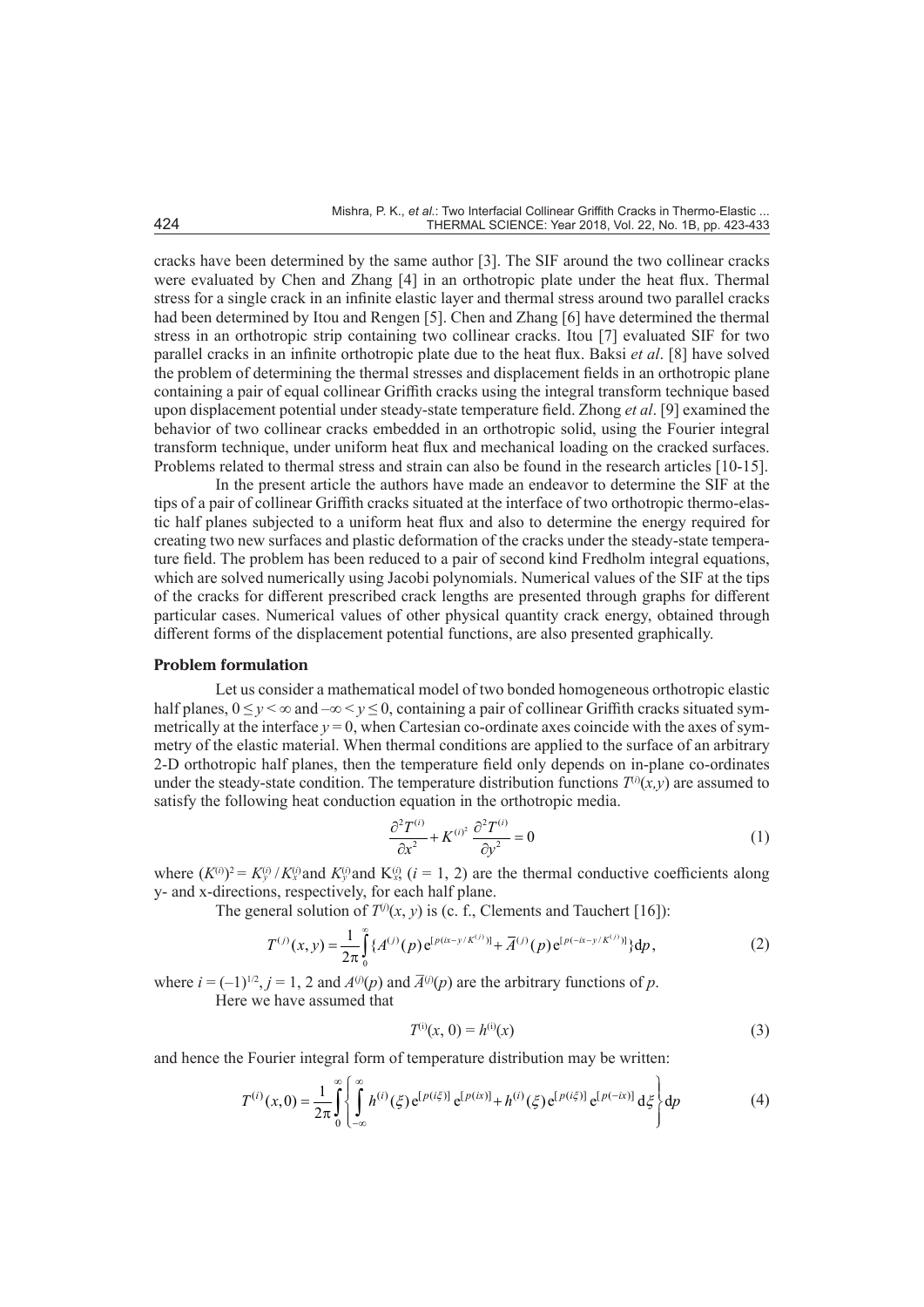cracks have been determined by the same author [3]. The SIF around the two collinear cracks were evaluated by Chen and Zhang [4] in an orthotropic plate under the heat flux. Thermal stress for a single crack in an infinite elastic layer and thermal stress around two parallel cracks had been determined by Itou and Rengen [5]. Chen and Zhang [6] have determined the thermal stress in an orthotropic strip containing two collinear cracks. Itou [7] evaluated SIF for two parallel cracks in an infinite orthotropic plate due to the heat flux. Baksi *et al*. [8] have solved the problem of determining the thermal stresses and displacement fields in an orthotropic plane containing a pair of equal collinear Griffith cracks using the integral transform technique based upon displacement potential under steady-state temperature field. Zhong *et al*. [9] examined the behavior of two collinear cracks embedded in an orthotropic solid, using the Fourier integral transform technique, under uniform heat flux and mechanical loading on the cracked surfaces. Problems related to thermal stress and strain can also be found in the research articles [10-15].

In the present article the authors have made an endeavor to determine the SIF at the tips of a pair of collinear Griffith cracks situated at the interface of two orthotropic thermo-elastic half planes subjected to a uniform heat flux and also to determine the energy required for creating two new surfaces and plastic deformation of the cracks under the steady-state temperature field. The problem has been reduced to a pair of second kind Fredholm integral equations, which are solved numerically using Jacobi polynomials. Numerical values of the SIF at the tips of the cracks for different prescribed crack lengths are presented through graphs for different particular cases. Numerical values of other physical quantity crack energy, obtained through different forms of the displacement potential functions, are also presented graphically.

# **Problem formulation**

Let us consider a mathematical model of two bonded homogeneous orthotropic elastic half planes,  $0 \le y \le \infty$  and  $-\infty \le y \le 0$ , containing a pair of collinear Griffith cracks situated symmetrically at the interface  $y = 0$ , when Cartesian co-ordinate axes coincide with the axes of symmetry of the elastic material. When thermal conditions are applied to the surface of an arbitrary 2-D orthotropic half planes, then the temperature field only depends on in-plane co-ordinates under the steady-state condition. The temperature distribution functions  $T^{(i)}(x,y)$  are assumed to satisfy the following heat conduction equation in the orthotropic media.

$$
\frac{\partial^2 T^{(i)}}{\partial x^2} + K^{(i)^2} \frac{\partial^2 T^{(i)}}{\partial y^2} = 0
$$
\n(1)

where  $(K^{(i)})^2 = K^{(i)}_y / K^{(i)}_x$  and  $K^{(i)}_y$  and  $K^{(i)}_x$ ,  $(i = 1, 2)$  are the thermal conductive coefficients along y- and x-directions, respectively, for each half plane.

The general solution of  $T^{(j)}(x, y)$  is (c. f., Clements and Tauchert [16]):

$$
T^{(j)}(x,y) = \frac{1}{2\pi} \int_{0}^{\infty} \{A^{(j)}(p)e^{[p(ix-y/K^{(j)})]} + \overline{A}^{(j)}(p)e^{[p(-ix-y/K^{(j)})]}\}dp,
$$
 (2)

where  $i = (-1)^{1/2}, j = 1, 2$  and  $A^{(j)}(p)$  and  $\overline{A}^{(j)}(p)$  are the arbitrary functions of p.

Here we have assumed that

$$
T^{(i)}(x, 0) = h^{(i)}(x)
$$
\n(3)

and hence the Fourier integral form of temperature distribution may be written:

$$
T^{(i)}(x,0) = \frac{1}{2\pi} \int_{0}^{\infty} \left\{ \int_{-\infty}^{\infty} h^{(i)}(\xi) e^{[p(i\xi)]} e^{[p(ix)]} + h^{(i)}(\xi) e^{[p(i\xi)]} e^{[p(-ix)]} d\xi \right\} dp
$$
(4)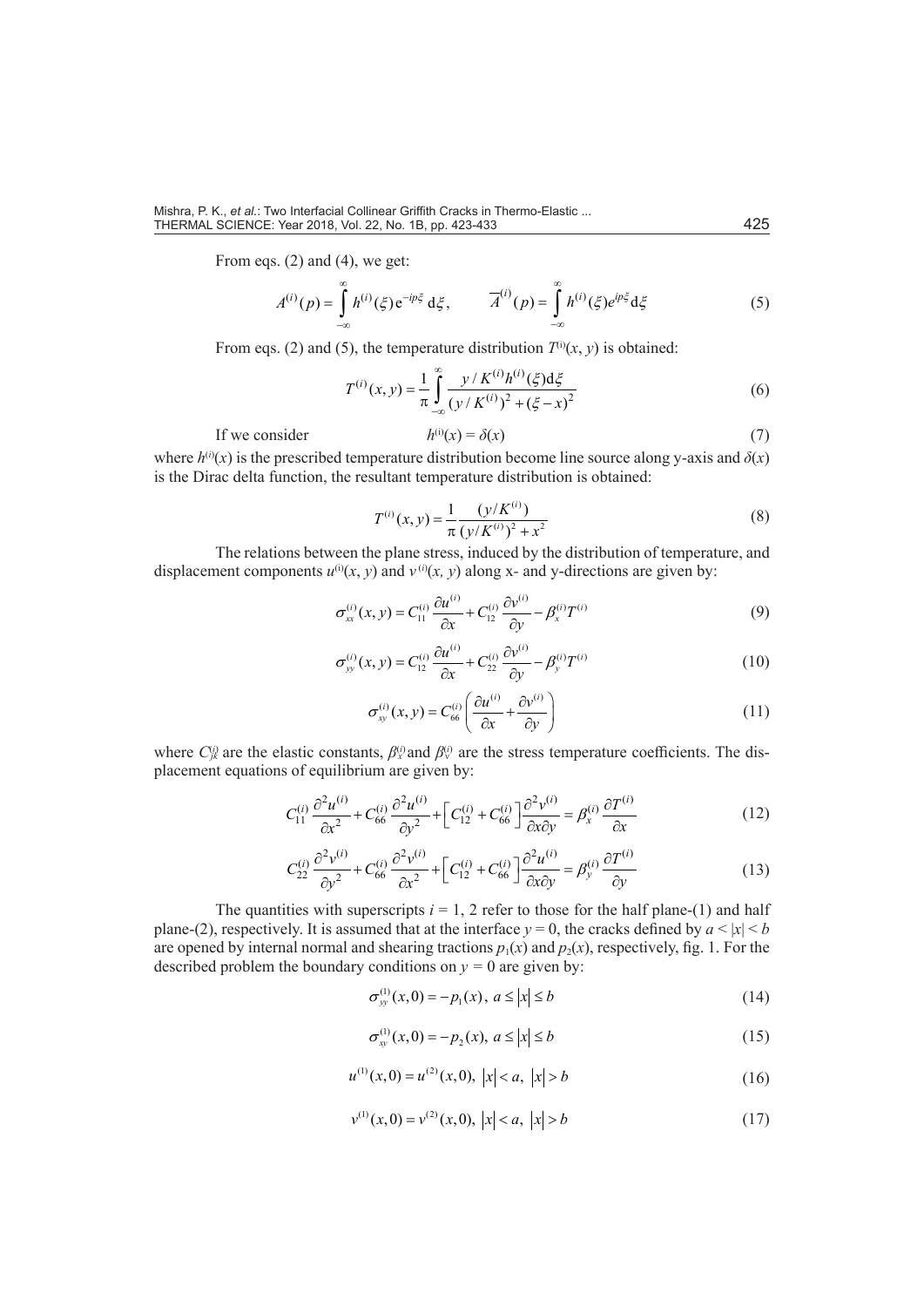From eqs. (2) and (4), we get:

$$
A^{(i)}(p) = \int_{-\infty}^{\infty} h^{(i)}(\xi) e^{-ip\xi} d\xi, \qquad \overline{A}^{(i)}(p) = \int_{-\infty}^{\infty} h^{(i)}(\xi) e^{ip\xi} d\xi
$$
 (5)

From eqs. (2) and (5), the temperature distribution  $T^{(i)}(x, y)$  is obtained:

$$
T^{(i)}(x, y) = \frac{1}{\pi} \int_{-\infty}^{\infty} \frac{y / K^{(i)} h^{(i)}(\xi) d\xi}{(y / K^{(i)})^2 + (\xi - x)^2}
$$
(6)

 $If we consider$ 

$$
h^{(i)}(x) = \delta(x) \tag{7}
$$

where  $h^{(i)}(x)$  is the prescribed temperature distribution become line source along y-axis and  $\delta(x)$ is the Dirac delta function, the resultant temperature distribution is obtained:

$$
T^{(i)}(x, y) = \frac{1}{\pi} \frac{(y/K^{(i)})}{(y/K^{(i)})^2 + x^2}
$$
 (8)

The relations between the plane stress, induced by the distribution of temperature, and displacement components  $u^{(i)}(x, y)$  and  $v^{(i)}(x, y)$  along x- and y-directions are given by:

$$
\sigma_{xx}^{(i)}(x, y) = C_{11}^{(i)} \frac{\partial u^{(i)}}{\partial x} + C_{12}^{(i)} \frac{\partial v^{(i)}}{\partial y} - \beta_x^{(i)} T^{(i)}
$$
(9)

$$
\sigma_{yy}^{(i)}(x,y) = C_{12}^{(i)} \frac{\partial u^{(i)}}{\partial x} + C_{22}^{(i)} \frac{\partial v^{(i)}}{\partial y} - \beta_{y}^{(i)} T^{(i)}
$$
(10)

$$
\sigma_{xy}^{(i)}(x,y) = C_{66}^{(i)} \left( \frac{\partial u^{(i)}}{\partial x} + \frac{\partial v^{(i)}}{\partial y} \right)
$$
 (11)

where  $C_{jk}^{(i)}$  are the elastic constants,  $\beta_{x}^{(i)}$  and  $\beta_{y}^{(i)}$  are the stress temperature coefficients. The displacement equations of equilibrium are given by:

$$
C_{11}^{(i)}\frac{\partial^2 u^{(i)}}{\partial x^2} + C_{66}^{(i)}\frac{\partial^2 u^{(i)}}{\partial y^2} + \left[C_{12}^{(i)} + C_{66}^{(i)}\right]\frac{\partial^2 v^{(i)}}{\partial x \partial y} = \beta_x^{(i)}\frac{\partial T^{(i)}}{\partial x}
$$
(12)

$$
C_{22}^{(i)}\frac{\partial^2 v^{(i)}}{\partial y^2} + C_{66}^{(i)}\frac{\partial^2 v^{(i)}}{\partial x^2} + \left[C_{12}^{(i)} + C_{66}^{(i)}\right]\frac{\partial^2 u^{(i)}}{\partial x \partial y} = \beta_{y}^{(i)}\frac{\partial T^{(i)}}{\partial y}
$$
(13)

The quantities with superscripts  $i = 1, 2$  refer to those for the half plane-(1) and half plane-(2), respectively. It is assumed that at the interface  $y = 0$ , the cracks defined by  $a \le |x| \le b$ are opened by internal normal and shearing tractions  $p_1(x)$  and  $p_2(x)$ , respectively, fig. 1. For the described problem the boundary conditions on  $y = 0$  are given by:

$$
\sigma_{yy}^{(1)}(x,0) = -p_1(x), \ a \le |x| \le b \tag{14}
$$

$$
\sigma_{xy}^{(1)}(x,0) = -p_2(x), \ a \le |x| \le b \tag{15}
$$

$$
u^{(1)}(x,0) = u^{(2)}(x,0), \ |x| < a, \ |x| > b \tag{16}
$$

$$
v^{(1)}(x,0) = v^{(2)}(x,0), \ |x| < a, \ |x| > b \tag{17}
$$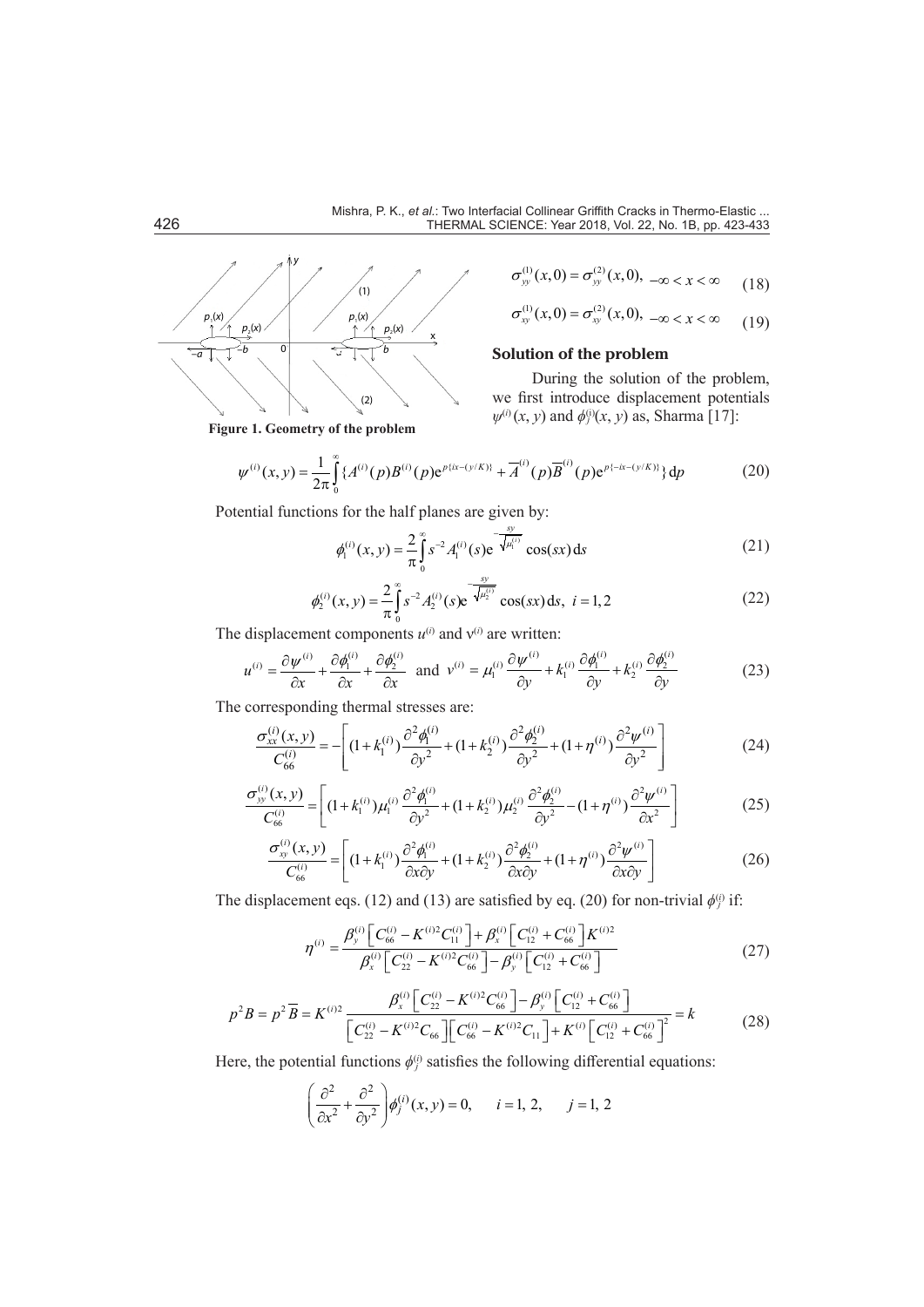

$$
\sigma_{yy}^{(1)}(x,0) = \sigma_{yy}^{(2)}(x,0), \ -\infty < x < \infty \tag{18}
$$

$$
\sigma_{xy}^{(1)}(x,0) = \sigma_{xy}^{(2)}(x,0), \ -\infty < x < \infty \tag{19}
$$

# **Solution of the problem**

During the solution of the problem, we first introduce displacement potentials  $ψ$ <sup>(i)</sup>(*x*, *y*) and  $φ$ <sup>(i)</sup>(*x*, *y*) as, Sharma [17]:

$$
\psi^{(i)}(x,y) = \frac{1}{2\pi} \int_{0}^{\infty} \{A^{(i)}(p)B^{(i)}(p)e^{p\{ix-(y/K)\}} + \overline{A}^{(i)}(p)\overline{B}^{(i)}(p)e^{p\{-ix-(y/K)\}}\} dp
$$
(20)

Potential functions for the half planes are given by:

$$
\phi_1^{(i)}(x, y) = \frac{2}{\pi} \int_0^\infty s^{-2} A_1^{(i)}(s) e^{-\frac{sy}{\sqrt{A_1^{(i)}}}} \cos(sx) ds
$$
 (21)

$$
\phi_2^{(i)}(x, y) = \frac{2}{\pi} \int_0^\infty s^{-2} A_2^{(i)}(s) e^{-\frac{y}{\sqrt{A_2^{(i)}}}} \cos(sx) \, ds, \ i = 1, 2 \tag{22}
$$

The displacement components  $u^{(i)}$  and  $v^{(i)}$  are written:

$$
u^{(i)} = \frac{\partial \psi^{(i)}}{\partial x} + \frac{\partial \phi_1^{(i)}}{\partial x} + \frac{\partial \phi_2^{(i)}}{\partial x} \quad \text{and} \quad v^{(i)} = \mu_1^{(i)} \frac{\partial \psi^{(i)}}{\partial y} + k_1^{(i)} \frac{\partial \phi_1^{(i)}}{\partial y} + k_2^{(i)} \frac{\partial \phi_2^{(i)}}{\partial y} \tag{23}
$$

The corresponding thermal stresses are:

$$
\frac{\sigma_{xx}^{(i)}(x,y)}{C_{66}^{(i)}} = -\left[ (1 + k_1^{(i)}) \frac{\partial^2 \phi_1^{(i)}}{\partial y^2} + (1 + k_2^{(i)}) \frac{\partial^2 \phi_2^{(i)}}{\partial y^2} + (1 + \eta^{(i)}) \frac{\partial^2 \psi^{(i)}}{\partial y^2} \right]
$$
(24)

$$
\frac{\sigma_{yy}^{(i)}(x,y)}{C_{66}^{(i)}} = \left[ (1 + k_1^{(i)}) \mu_1^{(i)} \frac{\partial^2 \phi_1^{(i)}}{\partial y^2} + (1 + k_2^{(i)}) \mu_2^{(i)} \frac{\partial^2 \phi_2^{(i)}}{\partial y^2} - (1 + \eta^{(i)}) \frac{\partial^2 \psi^{(i)}}{\partial x^2} \right] \tag{25}
$$

$$
\frac{\sigma_{xy}^{(i)}(x,y)}{C_{66}^{(i)}} = \left[ (1 + k_1^{(i)}) \frac{\partial^2 \phi_1^{(i)}}{\partial x \partial y} + (1 + k_2^{(i)}) \frac{\partial^2 \phi_2^{(i)}}{\partial x \partial y} + (1 + \eta^{(i)}) \frac{\partial^2 \psi^{(i)}}{\partial x \partial y} \right]
$$
(26)

The displacement eqs. (12) and (13) are satisfied by eq. (20) for non-trivial  $\phi_j^{(i)}$  if:

$$
\eta^{(i)} = \frac{\beta_{y}^{(i)} \left[ C_{66}^{(i)} - K^{(i)2} C_{11}^{(i)} \right] + \beta_{x}^{(i)} \left[ C_{12}^{(i)} + C_{66}^{(i)} \right] K^{(i)2}}{\beta_{x}^{(i)} \left[ C_{22}^{(i)} - K^{(i)2} C_{66}^{(i)} \right] - \beta_{y}^{(i)} \left[ C_{12}^{(i)} + C_{66}^{(i)} \right]}
$$
(27)

$$
p^2 B = p^2 \overline{B} = K^{(i)2} \frac{\beta_x^{(i)} \left[ C_{22}^{(i)} - K^{(i)2} C_{66}^{(i)} \right] - \beta_y^{(i)} \left[ C_{12}^{(i)} + C_{66}^{(i)} \right]}{\left[ C_{22}^{(i)} - K^{(i)2} C_{66} \right] \left[ C_{66}^{(i)} - K^{(i)2} C_{11} \right] + K^{(i)} \left[ C_{12}^{(i)} + C_{66}^{(i)} \right]^2} = k \tag{28}
$$

Here, the potential functions *ϕ*(*i*) *<sup>j</sup>* satisfies the following differential equations:

$$
\left(\frac{\partial^2}{\partial x^2} + \frac{\partial^2}{\partial y^2}\right) \phi_j^{(i)}(x, y) = 0, \quad i = 1, 2, \quad j = 1, 2
$$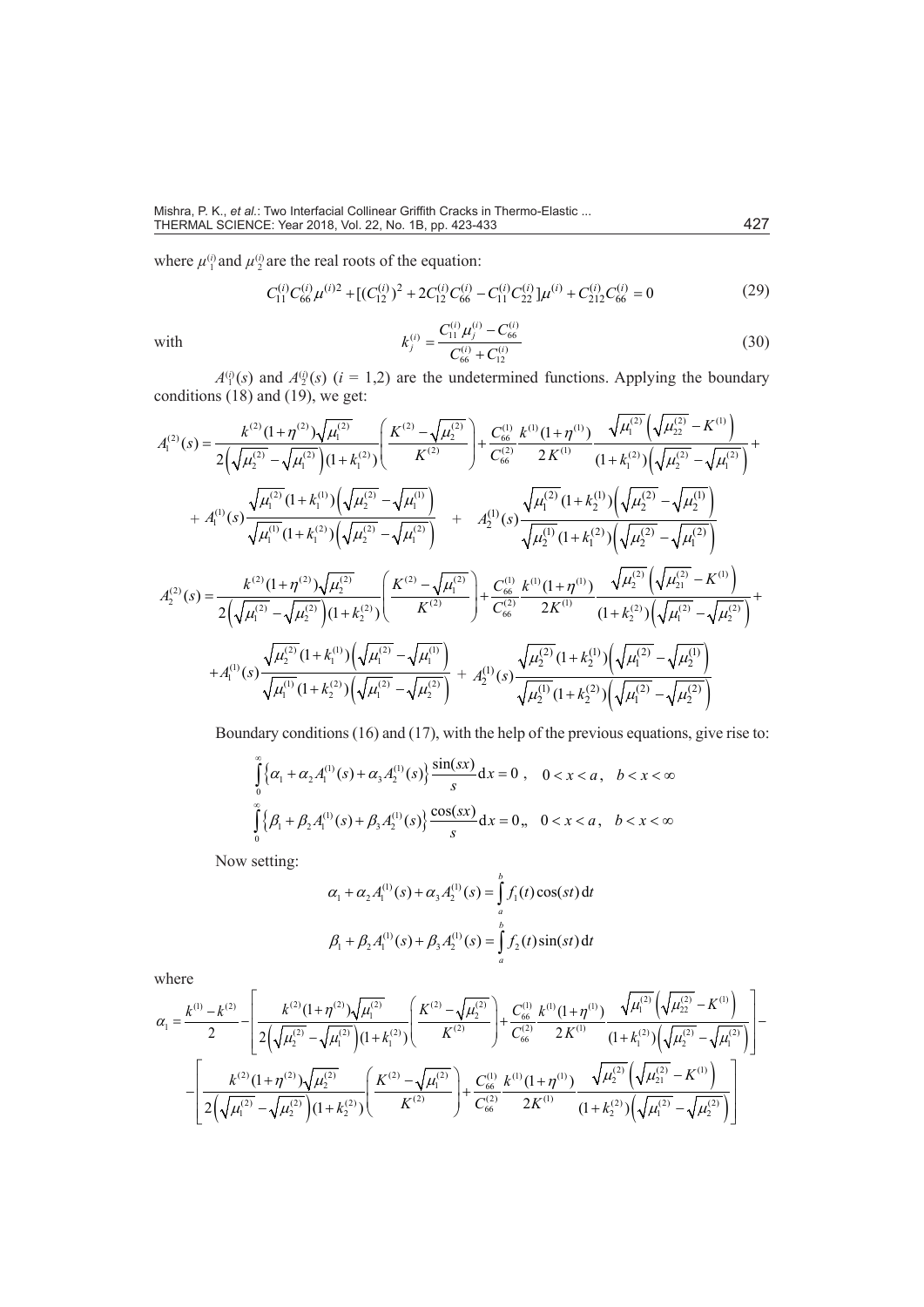where  $\mu_1^{(i)}$  and  $\mu_2^{(i)}$  are the real roots of the equation:

$$
C_{11}^{(i)}C_{66}^{(i)}\mu^{(i)2} + [(C_{12}^{(i)})^2 + 2C_{12}^{(i)}C_{66}^{(i)} - C_{11}^{(i)}C_{22}^{(i)}]\mu^{(i)} + C_{212}^{(i)}C_{66}^{(i)} = 0
$$
\n(29)

with

$$
k_j^{(i)} = \frac{C_{11}^{(i)} \mu_j^{(i)} - C_{66}^{(i)}}{C_{66}^{(i)} + C_{12}^{(i)}}
$$
(30)

 $A^{(i)}(s)$  and  $A^{(i)}(s)$  ( $i = 1,2$ ) are the undetermined functions. Applying the boundary conditions (18) and (19), we get:

$$
A_1^{(2)}(s) = \frac{k^{(2)}(1+\eta^{(2)})\sqrt{\mu_1^{(2)}}}{2(\sqrt{\mu_2^{(2)}}-\sqrt{\mu_1^{(2)}})(1+k_1^{(2)})} \left(\frac{K^{(2)}-\sqrt{\mu_2^{(2)}}}{K^{(2)}}\right) + \frac{C_{66}^{(1)}}{C_{66}^{(2)}}\frac{k^{(1)}(1+\eta^{(1)})}{2K^{(1)}}\frac{\sqrt{\mu_1^{(2)}}\left(\sqrt{\mu_2^{(2)}}-K^{(1)}\right)}{(1+k_1^{(2)})\left(\sqrt{\mu_2^{(2)}}-\sqrt{\mu_1^{(2)}}\right)} + A_1^{(1)}(s)\frac{\sqrt{\mu_1^{(2)}}(1+k_1^{(1)})\left(\sqrt{\mu_2^{(2)}}-\sqrt{\mu_1^{(1)}}\right)}{\sqrt{\mu_1^{(1)}}(1+k_1^{(2)})\left(\sqrt{\mu_2^{(2)}}-\sqrt{\mu_1^{(2)}}\right)} + A_2^{(1)}(s)\frac{\sqrt{\mu_1^{(2)}}(1+k_2^{(1)})\left(\sqrt{\mu_2^{(2)}}-\sqrt{\mu_2^{(1)}}\right)}{\sqrt{\mu_2^{(1)}}(1+k_1^{(2)})\left(\sqrt{\mu_2^{(2)}}-\sqrt{\mu_1^{(2)}}\right)} + A_2^{(1)}(s)\frac{\sqrt{\mu_1^{(2)}}(1+k_2^{(1)})\left(\sqrt{\mu_2^{(2)}}-\sqrt{\mu_1^{(2)}}\right)}{2\left(\sqrt{\mu_1^{(2)}}-\sqrt{\mu_2^{(2)}}\right)(1+k_2^{(2)})}\left(\frac{K^{(2)}-\sqrt{\mu_1^{(2)}}}{K^{(2)}}\right) + \frac{C_{66}^{(1)}}{C_{66}^{(2)}}\frac{k^{(1)}(1+\eta^{(1)})}{2K^{(1)}}\frac{\sqrt{\mu_2^{(2)}}\left(\sqrt{\mu_2^{(2)}}-\sqrt{\mu_2^{(2)}}\right)}{(1+k_2^{(2)})\left(\sqrt{\mu_1^{(2)}}-\sqrt{\mu_2^{(2)}}\right)} + A_1^{(1)}(s)\frac{\sqrt{\mu_2^{(2)}}(1+k_2^{(1)})\left(\sqrt{\mu_1^{(2)}}-\sqrt{\mu_2^{(2)}}\right)}{\sqrt{\mu_2^{(1)}}(1+k_2^{(2)})\left(\sqrt{\mu_1^{(2)}}-\sqrt{\mu_2^{(2)}}\right)}
$$

Boundary conditions (16) and (17), with the help of the previous equations, give rise to:

$$
\int_{0}^{\infty} \left\{ \alpha_1 + \alpha_2 A_1^{(1)}(s) + \alpha_3 A_2^{(1)}(s) \right\} \frac{\sin(sx)}{s} dx = 0, \quad 0 < x < a, \quad b < x < \infty
$$
  

$$
\int_{0}^{\infty} \left\{ \beta_1 + \beta_2 A_1^{(1)}(s) + \beta_3 A_2^{(1)}(s) \right\} \frac{\cos(sx)}{s} dx = 0, \quad 0 < x < a, \quad b < x < \infty
$$

Now setting:

$$
\alpha_1 + \alpha_2 A_1^{(1)}(s) + \alpha_3 A_2^{(1)}(s) = \int_a^b f_1(t) \cos(st) dt
$$
  

$$
\beta_1 + \beta_2 A_1^{(1)}(s) + \beta_3 A_2^{(1)}(s) = \int_a^b f_2(t) \sin(st) dt
$$

where

$$
\alpha_{1} = \frac{k^{(1)} - k^{(2)}}{2} - \left[ \frac{k^{(2)}(1 + \eta^{(2)})\sqrt{\mu_{1}^{(2)}}}{2(\sqrt{\mu_{2}^{(2)}} - \sqrt{\mu_{1}^{(2)}})(1 + k_{1}^{(2)})} \left(\frac{K^{(2)} - \sqrt{\mu_{2}^{(2)}}}{K^{(2)}}\right) + \frac{C_{66}^{(1)}}{C_{66}^{(2)}} \frac{k^{(1)}(1 + \eta^{(1)})}{2K^{(1)}} \frac{\sqrt{\mu_{1}^{(2)}}\left(\sqrt{\mu_{2}^{(2)}} - K^{(1)}\right)}{(1 + k_{1}^{(2)})\left(\sqrt{\mu_{2}^{(2)}} - \sqrt{\mu_{1}^{(2)}}\right)}\right] - \left[ \frac{k^{(2)}(1 + \eta^{(2)})\sqrt{\mu_{2}^{(2)}}}{2\left(\sqrt{\mu_{1}^{(2)}} - \sqrt{\mu_{2}^{(2)}}\right)(1 + k_{2}^{(2)})}\left(\frac{K^{(2)} - \sqrt{\mu_{1}^{(2)}}}{K^{(2)}}\right) + \frac{C_{66}^{(1)}}{C_{66}^{(2)}} \frac{k^{(1)}(1 + \eta^{(1)})}{2K^{(1)}} \frac{\sqrt{\mu_{2}^{(2)}}\left(\sqrt{\mu_{2}^{(2)}} - K^{(1)}\right)}{(1 + k_{2}^{(2)})\left(\sqrt{\mu_{1}^{(2)}} - \sqrt{\mu_{2}^{(2)}}\right)}\right]
$$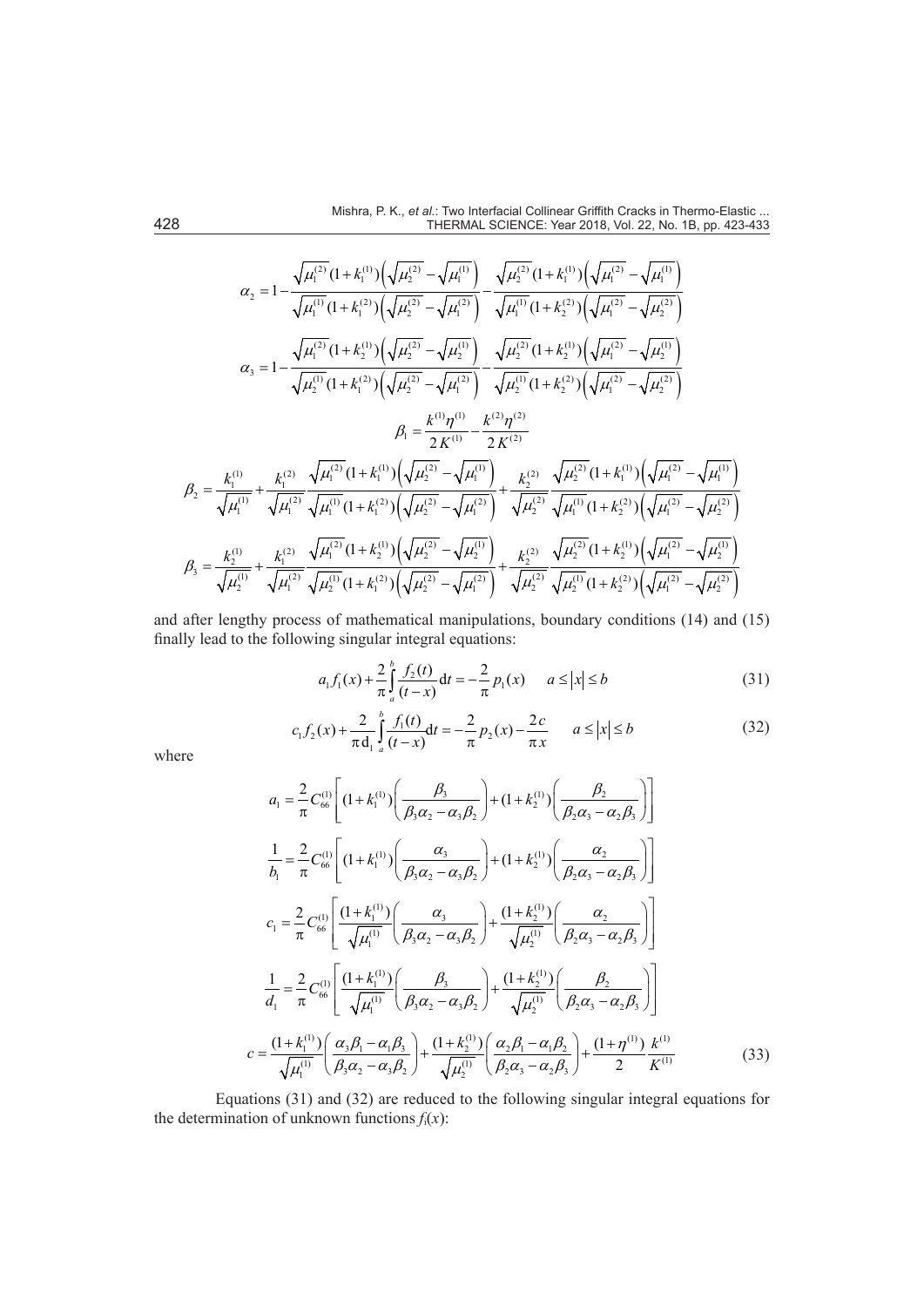$$
\alpha_{2} = 1 - \frac{\sqrt{\mu_{1}^{(2)}} (1 + k_{1}^{(1)}) \left(\sqrt{\mu_{2}^{(2)}} - \sqrt{\mu_{1}^{(1)}}\right)}{\sqrt{\mu_{1}^{(1)}} (1 + k_{1}^{(2)}) \left(\sqrt{\mu_{2}^{(2)}} - \sqrt{\mu_{1}^{(2)}}\right)} - \frac{\sqrt{\mu_{2}^{(2)}} (1 + k_{1}^{(1)}) \left(\sqrt{\mu_{1}^{(2)}} - \sqrt{\mu_{1}^{(1)}}\right)}{\sqrt{\mu_{1}^{(1)}} (1 + k_{2}^{(2)}) \left(\sqrt{\mu_{1}^{(2)}} - \sqrt{\mu_{2}^{(2)}}\right)}
$$
\n
$$
\alpha_{3} = 1 - \frac{\sqrt{\mu_{1}^{(2)}} (1 + k_{2}^{(1)}) \left(\sqrt{\mu_{2}^{(2)}} - \sqrt{\mu_{2}^{(1)}}\right)}{\sqrt{\mu_{2}^{(2)}} (1 + k_{2}^{(1)}) \left(\sqrt{\mu_{1}^{(2)}} - \sqrt{\mu_{2}^{(2)}}\right)}
$$
\n
$$
\beta_{1} = \frac{k^{(1)} \eta^{(1)}}{2 K^{(1)}} - \frac{k^{(2)} \eta^{(2)}}{2 K^{(2)}}
$$
\n
$$
\beta_{2} = \frac{k_{1}^{(1)}}{\sqrt{\mu_{1}^{(1)}}} + \frac{k_{1}^{(2)}}{\sqrt{\mu_{1}^{(2)}}} \frac{\sqrt{\mu_{1}^{(2)}} (1 + k_{1}^{(1)}) \left(\sqrt{\mu_{2}^{(2)}} - \sqrt{\mu_{1}^{(1)}}\right)} - \frac{k^{(2)} \eta^{(2)}}{2 K^{(2)}}
$$
\n
$$
\beta_{2} = \frac{k_{1}^{(1)}}{\sqrt{\mu_{1}^{(1)}}} + \frac{k_{1}^{(2)}}{\sqrt{\mu_{1}^{(2)}}} \frac{\sqrt{\mu_{1}^{(2)}} (1 + k_{1}^{(1)}) \left(\sqrt{\mu_{2}^{(2)}} - \sqrt{\mu_{1}^{(1)}}\right)}{2 K^{(2)}} + \frac{k_{2}^{(2)}}{\sqrt{\mu_{2}^{(2)}}} \frac{\sqrt{\mu_{2}^{(2)}} (1 + k_{1}^{(1)}) \left(\sqrt{\mu_{1}^{(2)}} - \sqrt{\mu_{1}^{(1)}}\right)}{\sqrt{\mu_{1}^{(1)}} (1 + k_{2}^{(2)}) \left(\sqrt{\mu_{1}^{(2)}} - \sqrt{\mu_{2}^{(
$$

and after lengthy process of mathematical manipulations, boundary conditions (14) and (15) finally lead to the following singular integral equations:

$$
a_1 f_1(x) + \frac{2}{\pi} \int_a^b \frac{f_2(t)}{(t - x)} dt = -\frac{2}{\pi} p_1(x) \qquad a \le |x| \le b \tag{31}
$$

$$
c_1 f_2(x) + \frac{2}{\pi d_1} \int_a^b \frac{f_1(t)}{(t - x)} dt = -\frac{2}{\pi} p_2(x) - \frac{2c}{\pi x} \qquad a \le |x| \le b \tag{32}
$$

where

*c*

$$
a_{1} = \frac{2}{\pi} C_{66}^{(1)} \left[ (1 + k_{1}^{(1)}) \left( \frac{\beta_{3}}{\beta_{3} \alpha_{2} - \alpha_{3} \beta_{2}} \right) + (1 + k_{2}^{(1)}) \left( \frac{\beta_{2}}{\beta_{2} \alpha_{3} - \alpha_{2} \beta_{3}} \right) \right]
$$
  
\n
$$
\frac{1}{b_{1}} = \frac{2}{\pi} C_{66}^{(1)} \left[ (1 + k_{1}^{(1)}) \left( \frac{\alpha_{3}}{\beta_{3} \alpha_{2} - \alpha_{3} \beta_{2}} \right) + (1 + k_{2}^{(1)}) \left( \frac{\alpha_{2}}{\beta_{2} \alpha_{3} - \alpha_{2} \beta_{3}} \right) \right]
$$
  
\n
$$
c_{1} = \frac{2}{\pi} C_{66}^{(1)} \left[ \frac{(1 + k_{1}^{(1)})}{\sqrt{\mu_{1}^{(1)}}} \left( \frac{\alpha_{3}}{\beta_{3} \alpha_{2} - \alpha_{3} \beta_{2}} \right) + \frac{(1 + k_{2}^{(1)})}{\sqrt{\mu_{2}^{(1)}}} \left( \frac{\alpha_{2}}{\beta_{2} \alpha_{3} - \alpha_{2} \beta_{3}} \right) \right]
$$
  
\n
$$
\frac{1}{d_{1}} = \frac{2}{\pi} C_{66}^{(1)} \left[ \frac{(1 + k_{1}^{(1)})}{\sqrt{\mu_{1}^{(1)}}} \left( \frac{\beta_{3}}{\beta_{3} \alpha_{2} - \alpha_{3} \beta_{2}} \right) + \frac{(1 + k_{2}^{(1)})}{\sqrt{\mu_{2}^{(1)}}} \left( \frac{\beta_{2}}{\beta_{2} \alpha_{3} - \alpha_{2} \beta_{3}} \right) \right]
$$
  
\n
$$
= \frac{(1 + k_{1}^{(1)})}{\sqrt{\mu_{1}^{(1)}}} \left( \frac{\alpha_{3} \beta_{1} - \alpha_{1} \beta_{3}}{\beta_{3} \alpha_{2} - \alpha_{3} \beta_{2}} \right) + \frac{(1 + k_{2}^{(1)})}{\sqrt{\mu_{2}^{(1)}}} \left( \frac{\alpha_{2} \beta_{1} - \alpha_{1} \beta_{2}}{\beta_{2} \alpha_{3} - \alpha_{2} \beta_{3}} \right) + \frac{(1 + \eta^{(1)})}{2} \frac
$$

Equations (31) and (32) are reduced to the following singular integral equations for the determination of unknown functions  $f_i(x)$ :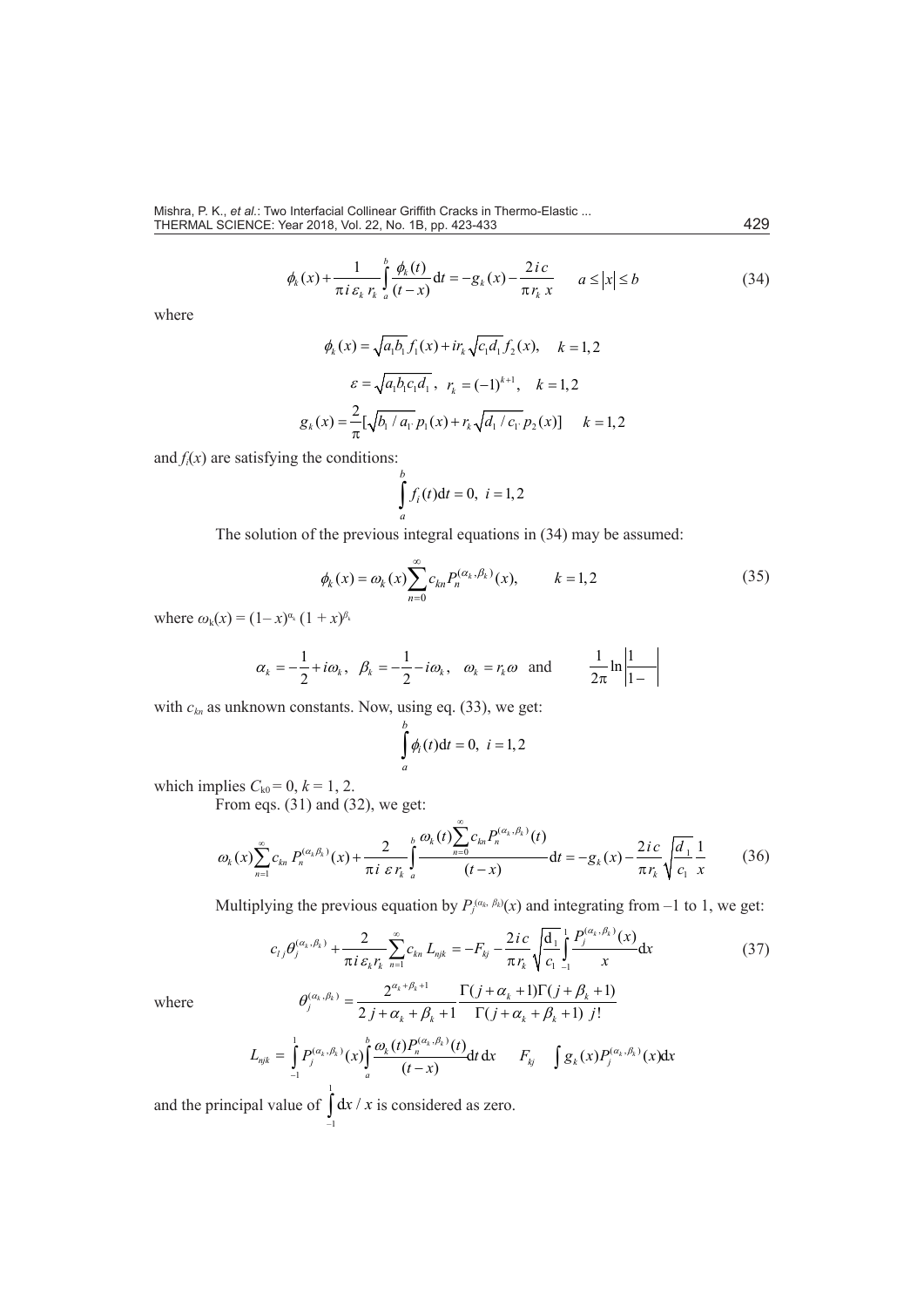$$
\phi_k(x) + \frac{1}{\pi i \varepsilon_k r_k} \int_a^b \frac{\phi_k(t)}{(t-x)} dt = -g_k(x) - \frac{2ic}{\pi r_k x} \qquad a \le |x| \le b \tag{34}
$$

where

$$
\phi_k(x) = \sqrt{a_1 b_1} f_1(x) + ir_k \sqrt{c_1 d_1} f_2(x), \quad k = 1, 2
$$

$$
\varepsilon = \sqrt{a_1 b_1 c_1 d_1}, \quad r_k = (-1)^{k+1}, \quad k = 1, 2
$$

$$
g_k(x) = \frac{2}{\pi} [\sqrt{b_1 / a_1}, p_1(x) + r_k \sqrt{d_1 / c_1}, p_2(x)] \quad k = 1, 2
$$

and  $f_i(x)$  are satisfying the conditions:

$$
\int_{a}^{b} f_i(t) \mathrm{d}t = 0, \ i = 1, 2
$$

The solution of the previous integral equations in (34) may be assumed:

$$
\phi_k(x) = \omega_k(x) \sum_{n=0}^{\infty} c_{kn} P_n^{(\alpha_k, \beta_k)}(x), \qquad k = 1, 2
$$
\n(35)

where  $\omega_k(x) = (1-x)^{\alpha_k} (1+x)^{\beta_k}$ 

$$
\alpha_k = -\frac{1}{2} + i\omega_k
$$
,  $\beta_k = -\frac{1}{2} - i\omega_k$ ,  $\omega_k = r_k \omega$  and  $\frac{1}{2\pi} \ln \left| \frac{1}{1 - \omega_k} \right|$ 

with  $c_{kn}$  as unknown constants. Now, using eq. (33), we get:

$$
\int_{a}^{b} \phi_i(t) \mathrm{d}t = 0, \ i = 1, 2
$$

which implies  $C_{k0} = 0$ ,  $k = 1, 2$ .

From eqs. (31) and (32), we get:

$$
\omega_{k}(x)\sum_{n=1}^{\infty}c_{kn}P_{n}^{(\alpha_{k}\beta_{k})}(x)+\frac{2}{\pi i \epsilon r_{k}}\int_{a}^{b}\frac{\omega_{k}(t)\sum_{n=0}^{\infty}c_{kn}P_{n}^{(\alpha_{k},\beta_{k})}(t)}{(t-x)}dt=-g_{k}(x)-\frac{2ic}{\pi r_{k}}\sqrt{\frac{d_{1}}{c_{1}}}\frac{1}{x}
$$
(36)

Multiplying the previous equation by  $P_j^{(a_k, \beta_k)}(x)$  and integrating from –1 to 1, we get:

$$
c_{ij}\theta_j^{(\alpha_k, \beta_k)} + \frac{2}{\pi i \varepsilon_k r_k} \sum_{n=1}^{\infty} c_{kn} L_{njk} = -F_{kj} - \frac{2 i c}{\pi r_k} \sqrt{\frac{d_1}{c_1}} \frac{1}{r} \frac{P_j^{(\alpha_k, \beta_k)}(x)}{x} dx
$$
  

$$
\theta_{j}^{(\alpha_k, \beta_k)} = \frac{2^{\alpha_k + \beta_k + 1}}{r} \frac{\Gamma(j + \alpha_k + 1)\Gamma(j + \beta_k + 1)}{\Gamma(j + \beta_k + 1)}
$$
(37)

where

$$
\theta_j^{(\alpha_k, \beta_k)} = \frac{2^{\alpha_k + \beta_k + 1}}{2j + \alpha_k + \beta_k + 1} \frac{\Gamma(j + \alpha_k + 1)\Gamma(j + \beta_k + 1)}{\Gamma(j + \alpha_k + \beta_k + 1) j!}
$$

$$
L_{njk} = \int_{-1}^{1} P_j^{(\alpha_k, \beta_k)}(x) \int_{a}^{b} \frac{\omega_k(t) P_n^{(\alpha_k, \beta_k)}(t)}{(t - x)} dt dx \qquad F_{kj} \qquad \int g_k(x) P_j^{(\alpha_k, \beta_k)}(x) dx
$$

and the principal value of 1  $\int_{-1}^{\infty} dx / x$  is considered as zero.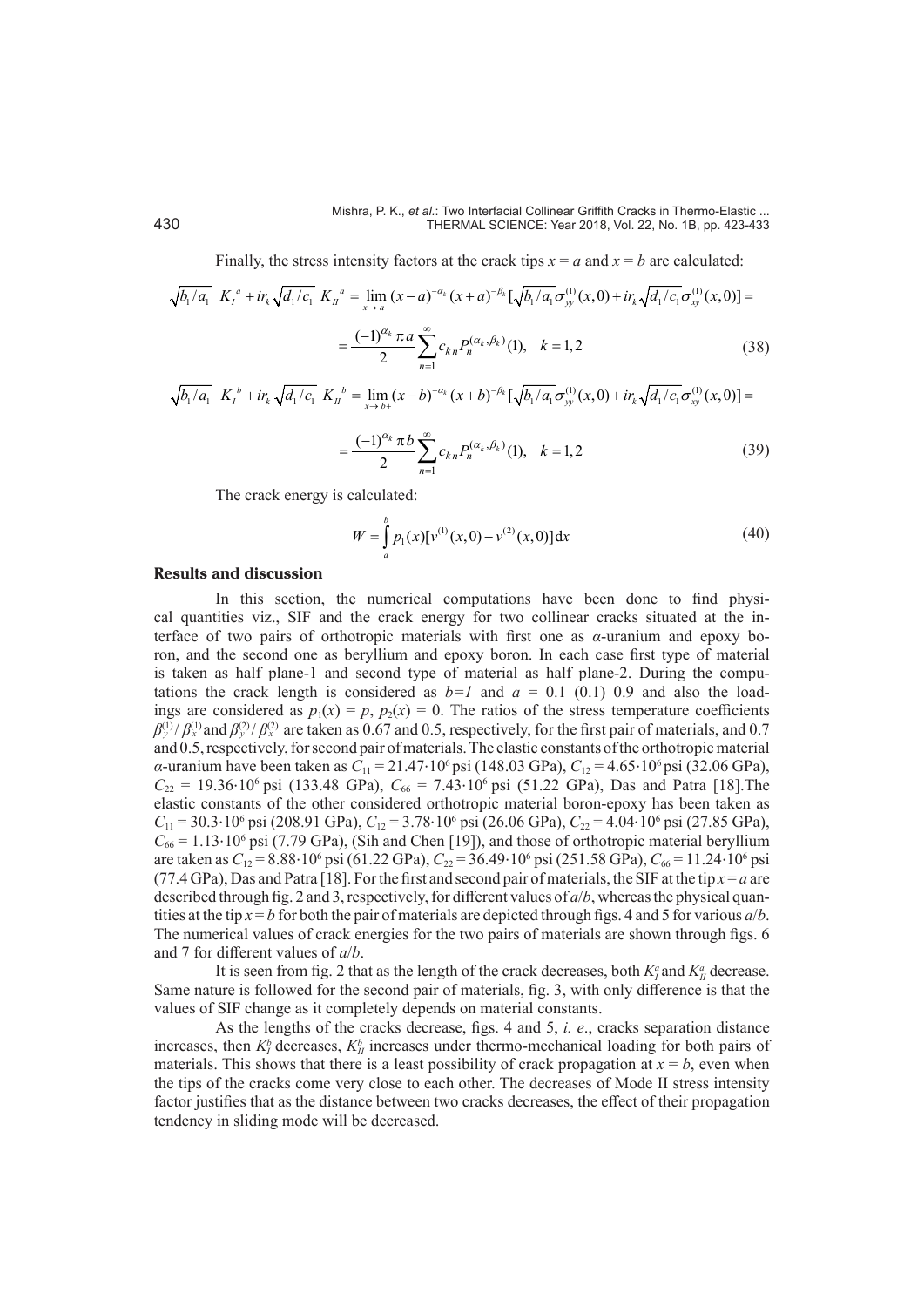Finally, the stress intensity factors at the crack tips  $x = a$  and  $x = b$  are calculated:

$$
\sqrt{b_1/a_1} K_1^a + i r_k \sqrt{d_1/c_1} K_{11}^a = \lim_{x \to a^-} (x - a)^{-a_k} (x + a)^{-\beta_k} [\sqrt{b_1/a_1} \sigma_{yy}^{(1)}(x, 0) + i r_k \sqrt{d_1/c_1} \sigma_{xy}^{(1)}(x, 0)] =
$$
  

$$
= \frac{(-1)^{a_k} \pi a}{2} \sum_{n=1}^{\infty} c_{kn} P_n^{(a_k, \beta_k)}(1), \quad k = 1, 2
$$
 (38)

$$
\sqrt{b_1/a_1} K_l^b + i r_k \sqrt{d_1/c_1} K_l^b = \lim_{x \to b^+} (x - b)^{-a_k} (x + b)^{-\beta_k} [\sqrt{b_1/a_1} \sigma_{yy}^{(1)}(x, 0) + i r_k \sqrt{d_1/c_1} \sigma_{xy}^{(1)}(x, 0)] =
$$

$$
=\frac{(-1)^{\alpha_k} \pi b}{2} \sum_{n=1}^{\infty} c_{kn} P_n^{(\alpha_k, \beta_k)}(1), \quad k=1,2
$$
 (39)

The crack energy is calculated:

$$
W = \int_{a}^{b} p_1(x) [v^{(1)}(x,0) - v^{(2)}(x,0)] dx
$$
 (40)

#### **Results and discussion**

In this section, the numerical computations have been done to find physical quantities viz., SIF and the crack energy for two collinear cracks situated at the interface of two pairs of orthotropic materials with first one as *α*-uranium and epoxy boron, and the second one as beryllium and epoxy boron. In each case first type of material is taken as half plane-1 and second type of material as half plane-2. During the computations the crack length is considered as  $b=1$  and  $a=0.1$  (0.1) 0.9 and also the loadings are considered as  $p_1(x) = p$ ,  $p_2(x) = 0$ . The ratios of the stress temperature coefficients  $\beta_y^{(1)}/\beta_x^{(1)}$  and  $\beta_y^{(2)}/\beta_x^{(2)}$  are taken as 0.67 and 0.5, respectively, for the first pair of materials, and 0.7 and  $0.5$ , respectively, for second pair of materials. The elastic constants of the orthotropic material and  $0.5$ , respectively, for second pair of materials. The elastic constants of the orthotropic material *α*-uranium have been taken as  $C_{11} = 21.47 \cdot 10^6$  psi (148.03 GPa),  $C_{12} = 4.65 \cdot 10^6$  psi (32.06 GPa),  $C_{22}$  = 19.36⋅10<sup>6</sup> psi (133.48 GPa),  $C_{66}$  = 7.43⋅10<sup>6</sup> psi (51.22 GPa), Das and Patra [18]. The elastic constants of the other considered orthotropic material boron-epoxy has been taken as *C*<sub>11</sub> = 30.3⋅10<sup>6</sup> psi (208.91 GPa), *C*<sub>12</sub> = 3.78⋅10<sup>6</sup> psi (26.06 GPa), *C*<sub>22</sub> = 4.04⋅10<sup>6</sup> psi (27.85 GPa),  $C_{66} = 1.13 \cdot 10^6 \text{ psi}$  (7.79 GPa), (Sih and Chen [19]), and those of orthotropic material beryllium are taken as *C*<sub>12</sub> = 8.88⋅10<sup>6</sup> psi (61.22 GPa), *C*<sub>22</sub> = 36.49⋅10<sup>6</sup> psi (251.58 GPa), *C*<sub>66</sub> = 11.24⋅10<sup>6</sup> psi (77.4 GPa), Das and Patra [18]. For the first and second pair of materials, the SIF at the tip  $x = a$  are described through fig. 2 and 3, respectively, for different values of *a*/*b*, whereas the physical quantities at the tip  $x = b$  for both the pair of materials are depicted through figs. 4 and 5 for various  $a/b$ . The numerical values of crack energies for the two pairs of materials are shown through figs. 6 and 7 for different values of *a*/*b*.

It is seen from fig. 2 that as the length of the crack decreases, both  $K_l^a$  and  $K_{ll}^a$  decrease. Same nature is followed for the second pair of materials, fig. 3, with only difference is that the values of SIF change as it completely depends on material constants.

As the lengths of the cracks decrease, figs. 4 and 5, *i. e*., cracks separation distance increases, then  $K_I^b$  decreases,  $K_I^b$  increases under thermo-mechanical loading for both pairs of materials. This shows that there is a least possibility of crack propagation at  $x = b$ , even when the tips of the cracks come very close to each other. The decreases of Mode II stress intensity factor justifies that as the distance between two cracks decreases, the effect of their propagation tendency in sliding mode will be decreased.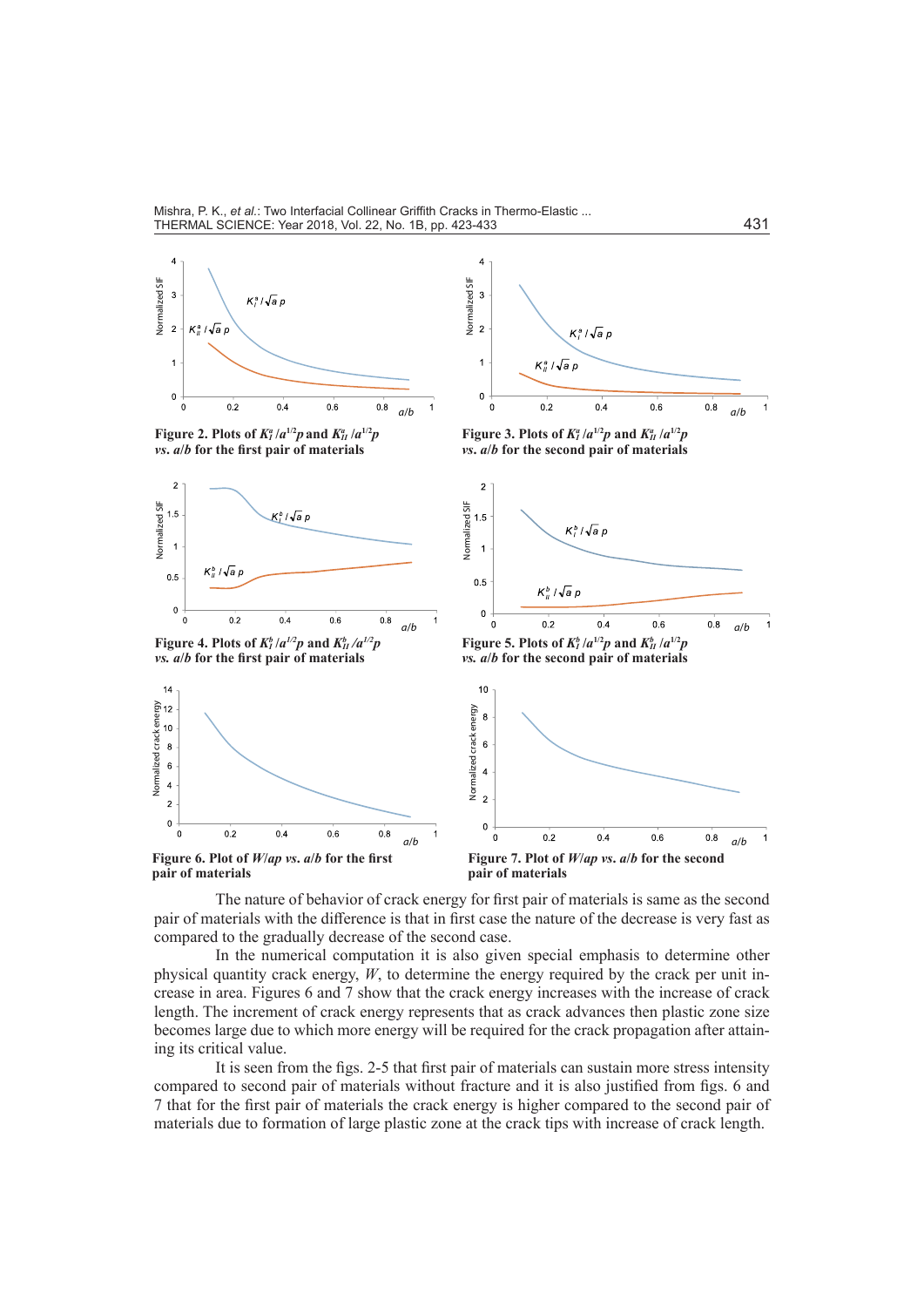

**Figure 2. Plots of**  $K_I^a/a^{1/2}p$  **and**  $K_{II}^a/a^{1/2}p$ *vs***.** *a***/***b* **for the first pair of materials**





**Figure 3. Plots of**  $K_I^a/a^{1/2}p$  **and**  $K_{II}^a/a^{1/2}p$ *vs***.** *a***/***b* **for the second pair of materials**



*vs. a***/***b* **for the first pair of materials**







**Figure 6. Plot of** *W***/***ap vs***.** *a***/***b* **for the first pair of materials**

**pair of materials**

The nature of behavior of crack energy for first pair of materials is same as the second pair of materials with the difference is that in first case the nature of the decrease is very fast as compared to the gradually decrease of the second case.

In the numerical computation it is also given special emphasis to determine other physical quantity crack energy, *W*, to determine the energy required by the crack per unit increase in area. Figures 6 and 7 show that the crack energy increases with the increase of crack length. The increment of crack energy represents that as crack advances then plastic zone size becomes large due to which more energy will be required for the crack propagation after attaining its critical value.

It is seen from the figs. 2-5 that first pair of materials can sustain more stress intensity compared to second pair of materials without fracture and it is also justified from figs. 6 and 7 that for the first pair of materials the crack energy is higher compared to the second pair of materials due to formation of large plastic zone at the crack tips with increase of crack length.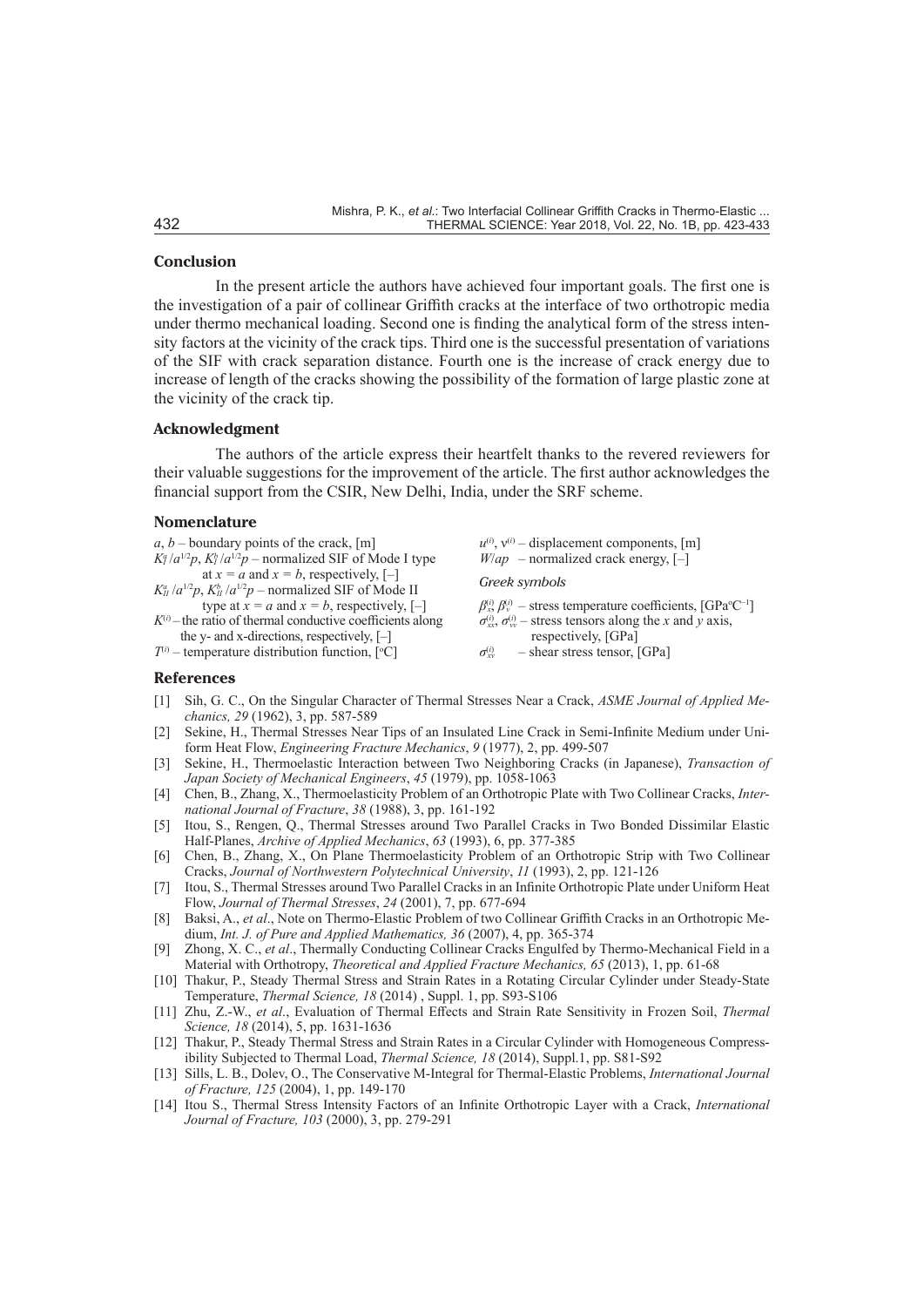# **Conclusion**

In the present article the authors have achieved four important goals. The first one is the investigation of a pair of collinear Griffith cracks at the interface of two orthotropic media under thermo mechanical loading. Second one is finding the analytical form of the stress intensity factors at the vicinity of the crack tips. Third one is the successful presentation of variations of the SIF with crack separation distance. Fourth one is the increase of crack energy due to increase of length of the cracks showing the possibility of the formation of large plastic zone at the vicinity of the crack tip.

#### **Acknowledgment**

The authors of the article express their heartfelt thanks to the revered reviewers for their valuable suggestions for the improvement of the article. The first author acknowledges the financial support from the CSIR, New Delhi, India, under the SRF scheme.

# **Nomenclature**

| at $x = a$ and $x = b$ , respectively, [-]<br>Greek symbols<br>$K_{II}^a/a^{1/2}p$ , $K_{II}^b/a^{1/2}p$ – normalized SIF of Mode II<br>type at $x = a$ and $x = b$ , respectively, [-]<br>$K^{(i)}$ – the ratio of thermal conductive coefficients along<br>$\sigma_{xx}^{(i)}$ , $\sigma_{yy}^{(i)}$ – stress tensors along the x and y axis,<br>the y- and x-directions, respectively, $[-]$<br>respectively, [GPa] | a, b – boundary points of the crack, [m]<br>$K_l^a/a^{1/2}p$ , $K_l^b/a^{1/2}p$ – normalized SIF of Mode I type | $u^{(i)}$ , $v^{(i)}$ – displacement components, [m]<br>$W(ap \text{ -normalized crack energy}, [-]$                                                                      |
|------------------------------------------------------------------------------------------------------------------------------------------------------------------------------------------------------------------------------------------------------------------------------------------------------------------------------------------------------------------------------------------------------------------------|-----------------------------------------------------------------------------------------------------------------|---------------------------------------------------------------------------------------------------------------------------------------------------------------------------|
|                                                                                                                                                                                                                                                                                                                                                                                                                        |                                                                                                                 |                                                                                                                                                                           |
|                                                                                                                                                                                                                                                                                                                                                                                                                        | $T^{(i)}$ – temperature distribution function, [°C]                                                             | $\beta_{x}^{(i)}$ , $\beta_{y}^{(i)}$ – stress temperature coefficients, [GPa <sup>o</sup> C <sup>-1</sup> ]<br>$-$ shear stress tensor, [GPa]<br>$\sigma_{\infty}^{(i)}$ |

# **References**

- [1] Sih, G. C., On the Singular Character of Thermal Stresses Near a Crack, *ASME Journal of Applied Mechanics, 29* (1962), 3, pp. 587-589
- [2] Sekine, H., Thermal Stresses Near Tips of an Insulated Line Crack in Semi-Infinite Medium under Uniform Heat Flow, *Engineering Fracture Mechanics*, *9* (1977), 2, pp. 499-507
- [3] Sekine, H., Thermoelastic Interaction between Two Neighboring Cracks (in Japanese), *Transaction of Japan Society of Mechanical Engineers*, *45* (1979), pp. 1058-1063
- [4] Chen, B., Zhang, X., Thermoelasticity Problem of an Orthotropic Plate with Two Collinear Cracks, *International Journal of Fracture*, *38* (1988), 3, pp. 161-192
- [5] Itou, S., Rengen, Q., Thermal Stresses around Two Parallel Cracks in Two Bonded Dissimilar Elastic Half-Planes, *Archive of Applied Mechanics*, *63* (1993), 6, pp. 377-385
- [6] Chen, B., Zhang, X., On Plane Thermoelasticity Problem of an Orthotropic Strip with Two Collinear Cracks, *Journal of Northwestern Polytechnical University*, *11* (1993), 2, pp. 121-126
- [7] Itou, S., Thermal Stresses around Two Parallel Cracks in an Infinite Orthotropic Plate under Uniform Heat Flow, *Journal of Thermal Stresses*, *24* (2001), 7, pp. 677-694
- [8] Baksi, A., *et al*., Note on Thermo-Elastic Problem of two Collinear Griffith Cracks in an Orthotropic Medium, *Int. J. of Pure and Applied Mathematics, 36* (2007), 4, pp. 365-374
- [9] Zhong, X. C., *et al*., Thermally Conducting Collinear Cracks Engulfed by Thermo-Mechanical Field in a Material with Orthotropy, *Theoretical and Applied Fracture Mechanics, 65* (2013), 1, pp. 61-68
- [10] Thakur, P., Steady Thermal Stress and Strain Rates in a Rotating Circular Cylinder under Steady-State Temperature, *Thermal Science, 18* (2014) , Suppl. 1, pp. S93-S106
- [11] Zhu, Z.-W., *et al*., Evaluation of Thermal Effects and Strain Rate Sensitivity in Frozen Soil, *Thermal Science, 18* (2014), 5, pp. 1631-1636
- [12] Thakur, P., Steady Thermal Stress and Strain Rates in a Circular Cylinder with Homogeneous Compressibility Subjected to Thermal Load, *Thermal Science, 18* (2014), Suppl.1, pp. S81-S92
- [13] Sills, L. B., Dolev, O., The Conservative M-Integral for Thermal-Elastic Problems, *International Journal of Fracture, 125* (2004), 1, pp. 149-170
- [14] Itou S., Thermal Stress Intensity Factors of an Infinite Orthotropic Layer with a Crack, *International Journal of Fracture, 103* (2000), 3, pp. 279-291